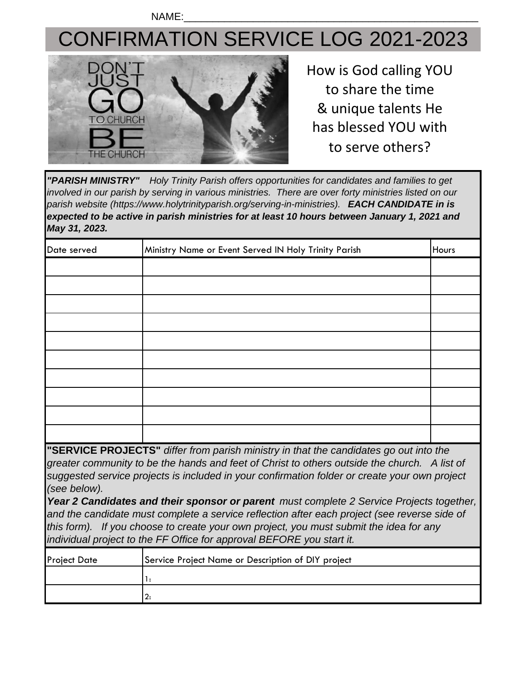NAME:\_\_\_\_\_\_\_\_\_\_\_\_\_\_\_\_\_\_\_\_\_\_\_\_\_\_\_\_\_\_\_\_\_\_\_\_\_\_\_\_\_\_\_\_\_\_\_\_\_\_\_

## CONFIRMATION SERVICE LOG 2021-2023



How is God calling YOU to share the time & unique talents He has blessed YOU with to serve others?

*"PARISH MINISTRY" Holy Trinity Parish offers opportunities for candidates and families to get involved in our parish by serving in various ministries. There are over forty ministries listed on our parish website (https://www.holytrinityparish.org/serving-in-ministries). EACH CANDIDATE in is*  expected to be active in parish ministries for at least 10 hours between January 1, 2021 and *May 31, 2023.* 

| Date served | Ministry Name or Event Served IN Holy Trinity Parish | Hours |
|-------------|------------------------------------------------------|-------|
|             |                                                      |       |
|             |                                                      |       |
|             |                                                      |       |
|             |                                                      |       |
|             |                                                      |       |
|             |                                                      |       |
|             |                                                      |       |
|             |                                                      |       |
|             |                                                      |       |
|             |                                                      |       |

**"SERVICE PROJECTS"** *differ from parish ministry in that the candidates go out into the greater community to be the hands and feet of Christ to others outside the church. A list of suggested service projects is included in your confirmation folder or create your own project (see below).*

*Year 2 Candidates and their sponsor or parent must complete 2 Service Projects together, and the candidate must complete a service reflection after each project (see reverse side of this form). If you choose to create your own project, you must submit the idea for any individual project to the FF Office for approval BEFORE you start it.*

| <b>Project Date</b> | Service Project Name or Description of DIY project |
|---------------------|----------------------------------------------------|
|                     |                                                    |
|                     |                                                    |